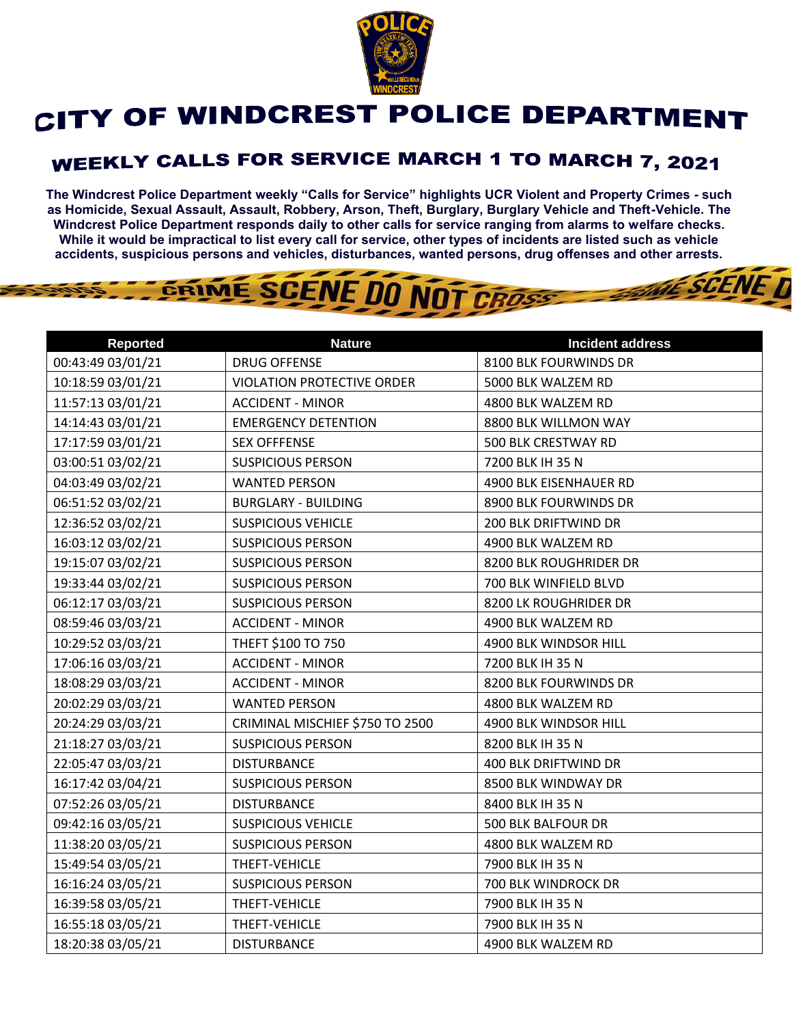

## CITY OF WINDCREST POLICE DEPARTMENT

## WEEKLY CALLS FOR SERVICE MARCH 1 TO MARCH 7, 2021

**The Windcrest Police Department weekly "Calls for Service" highlights UCR Violent and Property Crimes - such as Homicide, Sexual Assault, Assault, Robbery, Arson, Theft, Burglary, Burglary Vehicle and Theft-Vehicle. The Windcrest Police Department responds daily to other calls for service ranging from alarms to welfare checks. While it would be impractical to list every call for service, other types of incidents are listed such as vehicle accidents, suspicious persons and vehicles, disturbances, wanted persons, drug offenses and other arrests.** 

**THE SCENE D** 

## GRIME SCENE DO NOT CROSS

| <b>Reported</b>   | <b>Nature</b>                     | <b>Incident address</b> |
|-------------------|-----------------------------------|-------------------------|
| 00:43:49 03/01/21 | <b>DRUG OFFENSE</b>               | 8100 BLK FOURWINDS DR   |
| 10:18:59 03/01/21 | <b>VIOLATION PROTECTIVE ORDER</b> | 5000 BLK WALZEM RD      |
| 11:57:13 03/01/21 | <b>ACCIDENT - MINOR</b>           | 4800 BLK WALZEM RD      |
| 14:14:43 03/01/21 | <b>EMERGENCY DETENTION</b>        | 8800 BLK WILLMON WAY    |
| 17:17:59 03/01/21 | <b>SEX OFFFENSE</b>               | 500 BLK CRESTWAY RD     |
| 03:00:51 03/02/21 | <b>SUSPICIOUS PERSON</b>          | 7200 BLK IH 35 N        |
| 04:03:49 03/02/21 | <b>WANTED PERSON</b>              | 4900 BLK EISENHAUER RD  |
| 06:51:52 03/02/21 | <b>BURGLARY - BUILDING</b>        | 8900 BLK FOURWINDS DR   |
| 12:36:52 03/02/21 | <b>SUSPICIOUS VEHICLE</b>         | 200 BLK DRIFTWIND DR    |
| 16:03:12 03/02/21 | <b>SUSPICIOUS PERSON</b>          | 4900 BLK WALZEM RD      |
| 19:15:07 03/02/21 | <b>SUSPICIOUS PERSON</b>          | 8200 BLK ROUGHRIDER DR  |
| 19:33:44 03/02/21 | <b>SUSPICIOUS PERSON</b>          | 700 BLK WINFIELD BLVD   |
| 06:12:17 03/03/21 | <b>SUSPICIOUS PERSON</b>          | 8200 LK ROUGHRIDER DR   |
| 08:59:46 03/03/21 | <b>ACCIDENT - MINOR</b>           | 4900 BLK WALZEM RD      |
| 10:29:52 03/03/21 | THEFT \$100 TO 750                | 4900 BLK WINDSOR HILL   |
| 17:06:16 03/03/21 | <b>ACCIDENT - MINOR</b>           | 7200 BLK IH 35 N        |
| 18:08:29 03/03/21 | <b>ACCIDENT - MINOR</b>           | 8200 BLK FOURWINDS DR   |
| 20:02:29 03/03/21 | <b>WANTED PERSON</b>              | 4800 BLK WALZEM RD      |
| 20:24:29 03/03/21 | CRIMINAL MISCHIEF \$750 TO 2500   | 4900 BLK WINDSOR HILL   |
| 21:18:27 03/03/21 | <b>SUSPICIOUS PERSON</b>          | 8200 BLK IH 35 N        |
| 22:05:47 03/03/21 | <b>DISTURBANCE</b>                | 400 BLK DRIFTWIND DR    |
| 16:17:42 03/04/21 | <b>SUSPICIOUS PERSON</b>          | 8500 BLK WINDWAY DR     |
| 07:52:26 03/05/21 | <b>DISTURBANCE</b>                | 8400 BLK IH 35 N        |
| 09:42:16 03/05/21 | <b>SUSPICIOUS VEHICLE</b>         | 500 BLK BALFOUR DR      |
| 11:38:20 03/05/21 | <b>SUSPICIOUS PERSON</b>          | 4800 BLK WALZEM RD      |
| 15:49:54 03/05/21 | THEFT-VEHICLE                     | 7900 BLK IH 35 N        |
| 16:16:24 03/05/21 | <b>SUSPICIOUS PERSON</b>          | 700 BLK WINDROCK DR     |
| 16:39:58 03/05/21 | THEFT-VEHICLE                     | 7900 BLK IH 35 N        |
| 16:55:18 03/05/21 | THEFT-VEHICLE                     | 7900 BLK IH 35 N        |
| 18:20:38 03/05/21 | <b>DISTURBANCE</b>                | 4900 BLK WALZEM RD      |